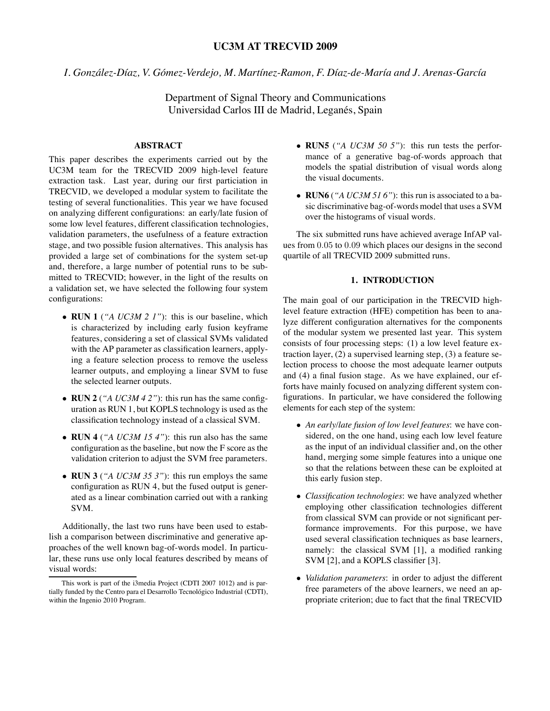# **UC3M AT TRECVID 2009**

*I. Gonzalez-D ´ ´ıaz, V. Gomez-Verdejo, M. Mart ´ ´ınez-Ramon, F. D´ıaz-de-Mar´ıa and J. Arenas-Garc´ıa*

Department of Signal Theory and Communications Universidad Carlos III de Madrid, Leganés, Spain

# **ABSTRACT**

This paper describes the experiments carried out by the UC3M team for the TRECVID 2009 high-level feature extraction task. Last year, during our first particiation in TRECVID, we developed a modular system to facilitate the testing of several functionalities. This year we have focused on analyzing different configurations: an early/late fusion of some low level features, different classification technologies, validation parameters, the usefulness of a feature extraction stage, and two possible fusion alternatives. This analysis has provided a large set of combinations for the system set-up and, therefore, a large number of potential runs to be submitted to TRECVID; however, in the light of the results on a validation set, we have selected the following four system configurations:

- *•* **RUN 1** (*"A UC3M 2 1"*): this is our baseline, which is characterized by including early fusion keyframe features, considering a set of classical SVMs validated with the AP parameter as classification learners, applying a feature selection process to remove the useless learner outputs, and employing a linear SVM to fuse the selected learner outputs.
- *•* **RUN 2** (*"A UC3M 4 2"*): this run has the same configuration as RUN 1, but KOPLS technology is used as the classification technology instead of a classical SVM.
- *•* **RUN 4** (*"A UC3M 15 4"*): this run also has the same configuration as the baseline, but now the F score as the validation criterion to adjust the SVM free parameters.
- *•* **RUN 3** (*"A UC3M 35 3"*): this run employs the same configuration as RUN 4, but the fused output is generated as a linear combination carried out with a ranking SVM.

Additionally, the last two runs have been used to establish a comparison between discriminative and generative approaches of the well known bag-of-words model. In particular, these runs use only local features described by means of visual words:

- *•* **RUN5** (*"A UC3M 50 5"*): this run tests the performance of a generative bag-of-words approach that models the spatial distribution of visual words along the visual documents.
- *•* **RUN6** (*"A UC3M 51 6"*): this run is associated to a basic discriminative bag-of-words model that uses a SVM over the histograms of visual words.

The six submitted runs have achieved average InfAP values from 0.05 to 0.09 which places our designs in the second quartile of all TRECVID 2009 submitted runs.

# **1. INTRODUCTION**

The main goal of our participation in the TRECVID highlevel feature extraction (HFE) competition has been to analyze different configuration alternatives for the components of the modular system we presented last year. This system consists of four processing steps: (1) a low level feature extraction layer, (2) a supervised learning step, (3) a feature selection process to choose the most adequate learner outputs and (4) a final fusion stage. As we have explained, our efforts have mainly focused on analyzing different system configurations. In particular, we have considered the following elements for each step of the system:

- *• An early/late fusion of low level features*: we have considered, on the one hand, using each low level feature as the input of an individual classifier and, on the other hand, merging some simple features into a unique one so that the relations between these can be exploited at this early fusion step.
- *• Classification technologies*: we have analyzed whether employing other classification technologies different from classical SVM can provide or not significant performance improvements. For this purpose, we have used several classification techniques as base learners, namely: the classical SVM [1], a modified ranking SVM [2], and a KOPLS classifier [3].
- *• Validation parameters*: in order to adjust the different free parameters of the above learners, we need an appropriate criterion; due to fact that the final TRECVID

This work is part of the i3media Project (CDTI 2007 1012) and is partially funded by the Centro para el Desarrollo Tecnológico Industrial (CDTI), within the Ingenio 2010 Program.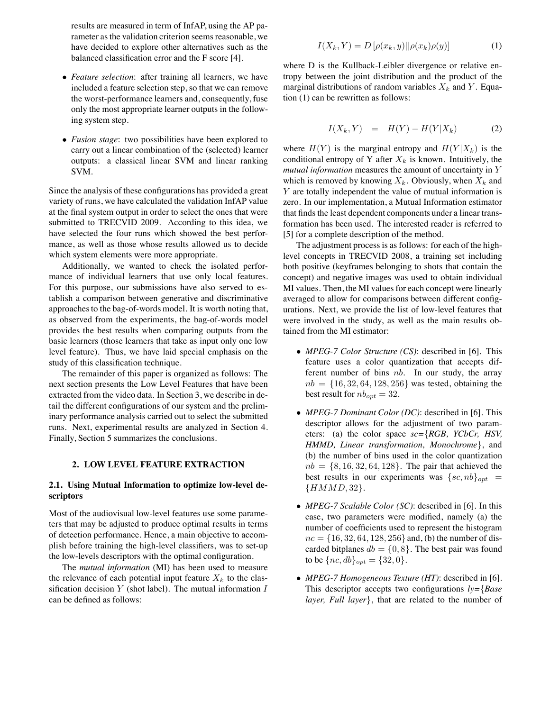results are measured in term of InfAP, using the AP parameter as the validation criterion seems reasonable, we have decided to explore other alternatives such as the balanced classification error and the F score [4].

- *• Feature selection*: after training all learners, we have included a feature selection step, so that we can remove the worst-performance learners and, consequently, fuse only the most appropriate learner outputs in the following system step.
- *• Fusion stage*: two possibilities have been explored to carry out a linear combination of the (selected) learner outputs: a classical linear SVM and linear ranking SVM.

Since the analysis of these configurations has provided a great variety of runs, we have calculated the validation InfAP value at the final system output in order to select the ones that were submitted to TRECVID 2009. According to this idea, we have selected the four runs which showed the best performance, as well as those whose results allowed us to decide which system elements were more appropriate.

Additionally, we wanted to check the isolated performance of individual learners that use only local features. For this purpose, our submissions have also served to establish a comparison between generative and discriminative approaches to the bag-of-words model. It is worth noting that, as observed from the experiments, the bag-of-words model provides the best results when comparing outputs from the basic learners (those learners that take as input only one low level feature). Thus, we have laid special emphasis on the study of this classification technique.

The remainder of this paper is organized as follows: The next section presents the Low Level Features that have been extracted from the video data. In Section 3, we describe in detail the different configurations of our system and the preliminary performance analysis carried out to select the submitted runs. Next, experimental results are analyzed in Section 4. Finally, Section 5 summarizes the conclusions.

### **2. LOW LEVEL FEATURE EXTRACTION**

### **2.1. Using Mutual Information to optimize low-level descriptors**

Most of the audiovisual low-level features use some parameters that may be adjusted to produce optimal results in terms of detection performance. Hence, a main objective to accomplish before training the high-level classifiers, was to set-up the low-levels descriptors with the optimal configuration.

The *mutual information* (MI) has been used to measure the relevance of each potential input feature  $X_k$  to the classification decision  $Y$  (shot label). The mutual information  $I$ can be defined as follows:

$$
I(X_k, Y) = D\left[\rho(x_k, y) || \rho(x_k)\rho(y)\right]
$$
 (1)

where D is the Kullback-Leibler divergence or relative entropy between the joint distribution and the product of the marginal distributions of random variables  $X_k$  and  $Y$ . Equation (1) can be rewritten as follows:

$$
I(X_k, Y) = H(Y) - H(Y|X_k)
$$
 (2)

where  $H(Y)$  is the marginal entropy and  $H(Y|X_k)$  is the conditional entropy of Y after  $X_k$  is known. Intuitively, the *mutual information* measures the amount of uncertainty in Y which is removed by knowing  $X_k$ . Obviously, when  $X_k$  and Y are totally independent the value of mutual information is zero. In our implementation, a Mutual Information estimator that finds the least dependent components under a linear transformation has been used. The interested reader is referred to [5] for a complete description of the method.

The adjustment process is as follows: for each of the highlevel concepts in TRECVID 2008, a training set including both positive (keyframes belonging to shots that contain the concept) and negative images was used to obtain individual MI values. Then, the MI values for each concept were linearly averaged to allow for comparisons between different configurations. Next, we provide the list of low-level features that were involved in the study, as well as the main results obtained from the MI estimator:

- *• MPEG-7 Color Structure (CS)*: described in [6]. This feature uses a color quantization that accepts different number of bins  $nb$ . In our study, the array  $nb = \{16, 32, 64, 128, 256\}$  was tested, obtaining the best result for  $nb_{opt} = 32$ .
- *• MPEG-7 Dominant Color (DC)*: described in [6]. This descriptor allows for the adjustment of two parameters: (a) the color space *sc={RGB, YCbCr, HSV, HMMD, Linear transformation, Monochrome}*, and (b) the number of bins used in the color quantization  $nb = \{8, 16, 32, 64, 128\}$ . The pair that achieved the best results in our experiments was  $\{sc, nb\}_{opt}$  = *{*HMMD, <sup>32</sup>*}*.
- *• MPEG-7 Scalable Color (SC)*: described in [6]. In this case, two parameters were modified, namely (a) the number of coefficients used to represent the histogram  $nc = \{16, 32, 64, 128, 256\}$  and, (b) the number of discarded bitplanes  $db = \{0, 8\}$ . The best pair was found to be  $\{nc, db\}_{opt} = \{32, 0\}.$
- *• MPEG-7 Homogeneous Texture (HT)*: described in [6]. This descriptor accepts two configurations *ly={Base layer, Full layer}*, that are related to the number of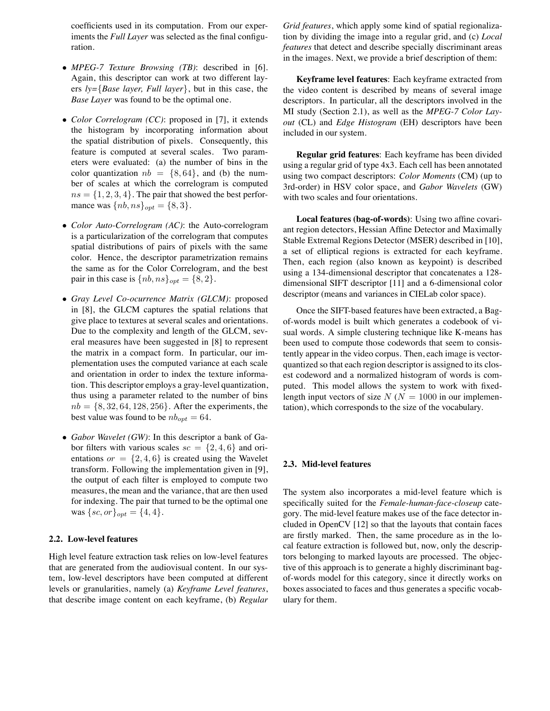coefficients used in its computation. From our experiments the *Full Layer* was selected as the final configuration.

- *• MPEG-7 Texture Browsing (TB)*: described in [6]. Again, this descriptor can work at two different layers *ly={Base layer, Full layer}*, but in this case, the *Base Layer* was found to be the optimal one.
- *• Color Correlogram (CC)*: proposed in [7], it extends the histogram by incorporating information about the spatial distribution of pixels. Consequently, this feature is computed at several scales. Two parameters were evaluated: (a) the number of bins in the color quantization  $nb = \{8, 64\}$ , and (b) the number of scales at which the correlogram is computed  $ns = \{1, 2, 3, 4\}$ . The pair that showed the best performance was  $\{nb, ns\}_{opt} = \{8, 3\}.$
- *• Color Auto-Correlogram (AC)*: the Auto-correlogram is a particularization of the correlogram that computes spatial distributions of pairs of pixels with the same color. Hence, the descriptor parametrization remains the same as for the Color Correlogram, and the best pair in this case is  $\{nb, ns\}_{opt} = \{8, 2\}.$
- *• Gray Level Co-ocurrence Matrix (GLCM)*: proposed in [8], the GLCM captures the spatial relations that give place to textures at several scales and orientations. Due to the complexity and length of the GLCM, several measures have been suggested in [8] to represent the matrix in a compact form. In particular, our implementation uses the computed variance at each scale and orientation in order to index the texture information. This descriptor employs a gray-level quantization, thus using a parameter related to the number of bins  $nb = \{8, 32, 64, 128, 256\}$ . After the experiments, the best value was found to be  $nb_{opt} = 64$ .
- *• Gabor Wavelet (GW)*: In this descriptor a bank of Gabor filters with various scales  $sc = \{2, 4, 6\}$  and orientations  $or = \{2, 4, 6\}$  is created using the Wavelet transform. Following the implementation given in [9], the output of each filter is employed to compute two measures, the mean and the variance, that are then used for indexing. The pair that turned to be the optimal one was  $\{sc, or\}_{opt} = \{4, 4\}.$

# **2.2. Low-level features**

High level feature extraction task relies on low-level features that are generated from the audiovisual content. In our system, low-level descriptors have been computed at different levels or granularities, namely (a) *Keyframe Level features*, that describe image content on each keyframe, (b) *Regular* *Grid features*, which apply some kind of spatial regionalization by dividing the image into a regular grid, and (c) *Local features* that detect and describe specially discriminant areas in the images. Next, we provide a brief description of them:

**Keyframe level features**: Each keyframe extracted from the video content is described by means of several image descriptors. In particular, all the descriptors involved in the MI study (Section 2.1), as well as the *MPEG-7 Color Layout* (CL) and *Edge Histogram* (EH) descriptors have been included in our system.

**Regular grid features**: Each keyframe has been divided using a regular grid of type 4x3. Each cell has been annotated using two compact descriptors: *Color Moments* (CM) (up to 3rd-order) in HSV color space, and *Gabor Wavelets* (GW) with two scales and four orientations.

**Local features (bag-of-words)**: Using two affine covariant region detectors, Hessian Affine Detector and Maximally Stable Extremal Regions Detector (MSER) described in [10], a set of elliptical regions is extracted for each keyframe. Then, each region (also known as keypoint) is described using a 134-dimensional descriptor that concatenates a 128 dimensional SIFT descriptor [11] and a 6-dimensional color descriptor (means and variances in CIELab color space).

Once the SIFT-based features have been extracted, a Bagof-words model is built which generates a codebook of visual words. A simple clustering technique like K-means has been used to compute those codewords that seem to consistently appear in the video corpus. Then, each image is vectorquantized so that each region descriptor is assigned to its closest codeword and a normalized histogram of words is computed. This model allows the system to work with fixedlength input vectors of size  $N (N = 1000$  in our implementation), which corresponds to the size of the vocabulary.

### **2.3. Mid-level features**

The system also incorporates a mid-level feature which is specifically suited for the *Female-human-face-closeup* category. The mid-level feature makes use of the face detector included in OpenCV [12] so that the layouts that contain faces are firstly marked. Then, the same procedure as in the local feature extraction is followed but, now, only the descriptors belonging to marked layouts are processed. The objective of this approach is to generate a highly discriminant bagof-words model for this category, since it directly works on boxes associated to faces and thus generates a specific vocabulary for them.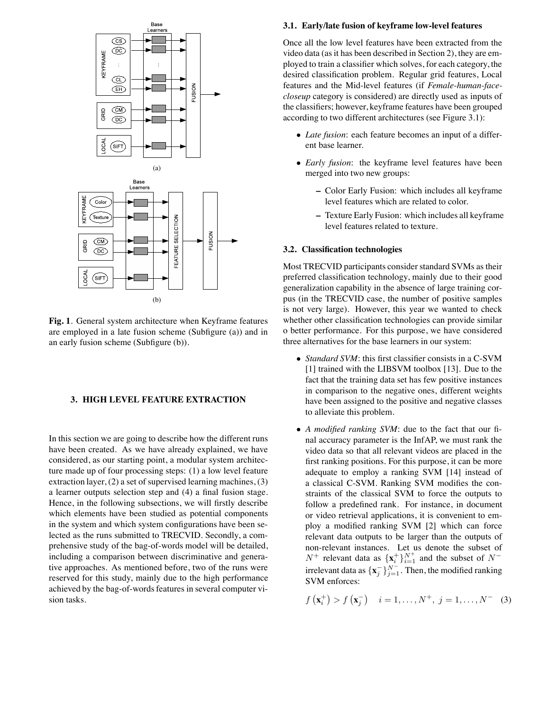

**Fig. 1**. General system architecture when Keyframe features are employed in a late fusion scheme (Subfigure (a)) and in an early fusion scheme (Subfigure (b)).

# **3. HIGH LEVEL FEATURE EXTRACTION**

In this section we are going to describe how the different runs have been created. As we have already explained, we have considered, as our starting point, a modular system architecture made up of four processing steps: (1) a low level feature extraction layer, (2) a set of supervised learning machines, (3) a learner outputs selection step and (4) a final fusion stage. Hence, in the following subsections, we will firstly describe which elements have been studied as potential components in the system and which system configurations have been selected as the runs submitted to TRECVID. Secondly, a comprehensive study of the bag-of-words model will be detailed, including a comparison between discriminative and generative approaches. As mentioned before, two of the runs were reserved for this study, mainly due to the high performance achieved by the bag-of-words features in several computer vision tasks.

#### **3.1. Early/late fusion of keyframe low-level features**

Once all the low level features have been extracted from the video data (as it has been described in Section 2), they are employed to train a classifier which solves, for each category, the desired classification problem. Regular grid features, Local features and the Mid-level features (if *Female-human-facecloseup* category is considered) are directly used as inputs of the classifiers; however, keyframe features have been grouped according to two different architectures (see Figure 3.1):

- *• Late fusion*: each feature becomes an input of a different base learner.
- *• Early fusion*: the keyframe level features have been merged into two new groups:
	- **–** Color Early Fusion: which includes all keyframe level features which are related to color.
	- **–** Texture Early Fusion: which includes all keyframe level features related to texture.

#### **3.2. Classification technologies**

Most TRECVID participants consider standard SVMs as their preferred classification technology, mainly due to their good generalization capability in the absence of large training corpus (in the TRECVID case, the number of positive samples is not very large). However, this year we wanted to check whether other classification technologies can provide similar o better performance. For this purpose, we have considered three alternatives for the base learners in our system:

- *• Standard SVM*: this first classifier consists in a C-SVM [1] trained with the LIBSVM toolbox [13]. Due to the fact that the training data set has few positive instances in comparison to the negative ones, different weights have been assigned to the positive and negative classes to alleviate this problem.
- *• A modified ranking SVM*: due to the fact that our final accuracy parameter is the InfAP, we must rank the video data so that all relevant videos are placed in the first ranking positions. For this purpose, it can be more adequate to employ a ranking SVM [14] instead of a classical C-SVM. Ranking SVM modifies the constraints of the classical SVM to force the outputs to follow a predefined rank. For instance, in document or video retrieval applications, it is convenient to employ a modified ranking SVM [2] which can force relevant data outputs to be larger than the outputs of non-relevant instances. Let us denote the subset of  $N^+$  relevant data as  $\{\mathbf{x}_i^+\}_{i=1}^{N^+}$  and the subset of  $N^$ irrelevant data as  $\{x_j^-\}_{j=1}^{N^-}$ . Then, the modified ranking SVM enforces:

$$
f(\mathbf{x}_{i}^{+}) > f(\mathbf{x}_{j}^{-})
$$
  $i = 1,..., N^{+}, j = 1,..., N^{-}$  (3)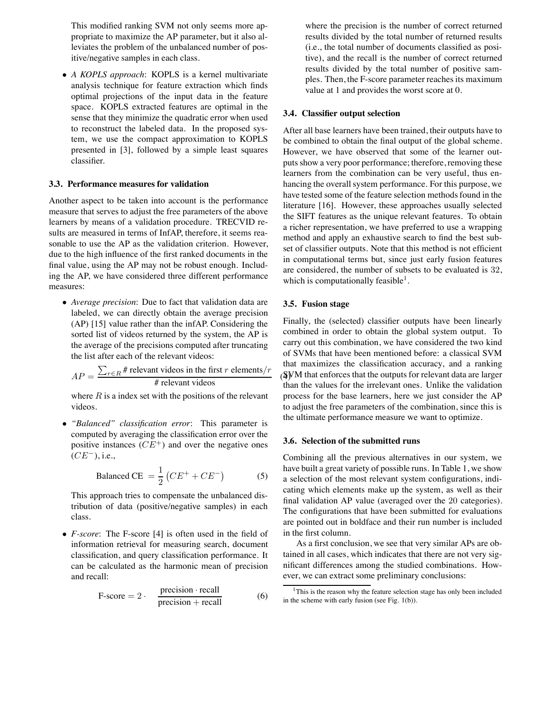This modified ranking SVM not only seems more appropriate to maximize the AP parameter, but it also alleviates the problem of the unbalanced number of positive/negative samples in each class.

*• A KOPLS approach*: KOPLS is a kernel multivariate analysis technique for feature extraction which finds optimal projections of the input data in the feature space. KOPLS extracted features are optimal in the sense that they minimize the quadratic error when used to reconstruct the labeled data. In the proposed system, we use the compact approximation to KOPLS presented in [3], followed by a simple least squares classifier.

#### **3.3. Performance measures for validation**

Another aspect to be taken into account is the performance measure that serves to adjust the free parameters of the above learners by means of a validation procedure. TRECVID results are measured in terms of InfAP, therefore, it seems reasonable to use the AP as the validation criterion. However, due to the high influence of the first ranked documents in the final value, using the AP may not be robust enough. Including the AP, we have considered three different performance measures:

*• Average precision*: Due to fact that validation data are labeled, we can directly obtain the average precision (AP) [15] value rather than the infAP. Considering the sorted list of videos returned by the system, the AP is the average of the precisions computed after truncating the list after each of the relevant videos:

$$
AP = \frac{\sum_{r \in R} \# \text{ relevant videos in the first } r \text{ elements}/r}{\# \text{ relevant videos}} \quad \text{(4)}
$$

where  $R$  is a index set with the positions of the relevant videos.

*• "Balanced" classification error*: This parameter is computed by averaging the classification error over the positive instances  $(CE^+)$  and over the negative ones  $(CE^{-})$ , i.e.,

Balanced CE = 
$$
\frac{1}{2} \left( CE^{+} + CE^{-} \right)
$$
 (5)

This approach tries to compensate the unbalanced distribution of data (positive/negative samples) in each class.

*• F-score*: The F-score [4] is often used in the field of information retrieval for measuring search, document classification, and query classification performance. It can be calculated as the harmonic mean of precision and recall:

$$
F-score = 2 \cdot \frac{precision \cdot recall}{precision + recall} \tag{6}
$$

where the precision is the number of correct returned results divided by the total number of returned results (i.e., the total number of documents classified as positive), and the recall is the number of correct returned results divided by the total number of positive samples. Then, the F-score parameter reaches its maximum value at 1 and provides the worst score at 0.

### **3.4. Classifier output selection**

After all base learners have been trained, their outputs have to be combined to obtain the final output of the global scheme. However, we have observed that some of the learner outputs show a very poor performance; therefore, removing these learners from the combination can be very useful, thus enhancing the overall system performance. For this purpose, we have tested some of the feature selection methods found in the literature [16]. However, these approaches usually selected the SIFT features as the unique relevant features. To obtain a richer representation, we have preferred to use a wrapping method and apply an exhaustive search to find the best subset of classifier outputs. Note that this method is not efficient in computational terms but, since just early fusion features are considered, the number of subsets to be evaluated is 32, which is computationally feasible<sup>1</sup>.

### **3.5. Fusion stage**

Finally, the (selected) classifier outputs have been linearly combined in order to obtain the global system output. To carry out this combination, we have considered the two kind of SVMs that have been mentioned before: a classical SVM that maximizes the classification accuracy, and a ranking  $(SVM$  that enforces that the outputs for relevant data are larger than the values for the irrelevant ones. Unlike the validation process for the base learners, here we just consider the AP to adjust the free parameters of the combination, since this is the ultimate performance measure we want to optimize.

#### **3.6. Selection of the submitted runs**

Combining all the previous alternatives in our system, we have built a great variety of possible runs. In Table 1, we show a selection of the most relevant system configurations, indicating which elements make up the system, as well as their final validation AP value (averaged over the 20 categories). The configurations that have been submitted for evaluations are pointed out in boldface and their run number is included in the first column.

As a first conclusion, we see that very similar APs are obtained in all cases, which indicates that there are not very significant differences among the studied combinations. However, we can extract some preliminary conclusions:

 $1$ This is the reason why the feature selection stage has only been included in the scheme with early fusion (see Fig. 1(b)).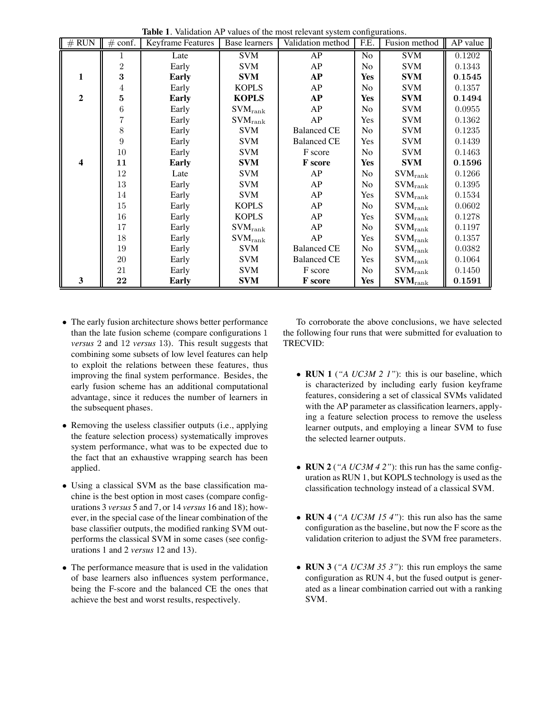| $#$ RUN          | $#$ conf.      | Keyframe Features | <b>Base learners</b>     | Validation method  | O.<br>F.E.     | Fusion method                | AP value |
|------------------|----------------|-------------------|--------------------------|--------------------|----------------|------------------------------|----------|
|                  | 1              | Late              | <b>SVM</b>               | AP                 | No             | <b>SVM</b>                   | 0.1202   |
|                  | $\overline{2}$ | Early             | <b>SVM</b>               | AP                 | No             | <b>SVM</b>                   | 0.1343   |
| 1                | 3              | <b>Early</b>      | <b>SVM</b>               | <b>AP</b>          | Yes            | <b>SVM</b>                   | 0.1545   |
|                  | 4              | Early             | <b>KOPLS</b>             | AP                 | N <sub>o</sub> | <b>SVM</b>                   | 0.1357   |
| $\mathbf{2}$     | 5              | Early             | <b>KOPLS</b>             | AP                 | <b>Yes</b>     | <b>SVM</b>                   | 0.1494   |
|                  | 6              | Early             | $\text{SVM}_\text{rank}$ | AP                 | N <sub>o</sub> | <b>SVM</b>                   | 0.0955   |
|                  | 7              | Early             | $\text{SVM}_\text{rank}$ | AP                 | Yes            | <b>SVM</b>                   | 0.1362   |
|                  | 8              | Early             | <b>SVM</b>               | <b>Balanced CE</b> | No             | <b>SVM</b>                   | 0.1235   |
|                  | 9              | Early             | <b>SVM</b>               | <b>Balanced CE</b> | Yes            | <b>SVM</b>                   | 0.1439   |
|                  | 10             | Early             | <b>SVM</b>               | F score            | No             | <b>SVM</b>                   | 0.1463   |
| $\boldsymbol{4}$ | 11             | Early             | <b>SVM</b>               | <b>F</b> score     | <b>Yes</b>     | <b>SVM</b>                   | 0.1596   |
|                  | 12             | Late              | <b>SVM</b>               | AP                 | N <sub>o</sub> | $SVM$ <sub>rank</sub>        | 0.1266   |
|                  | 13             | Early             | <b>SVM</b>               | AP                 | No             | $\text{SVM}_\text{rank}$     | 0.1395   |
|                  | 14             | Early             | <b>SVM</b>               | AP                 | Yes            | $\text{SVM}_\text{rank}$     | 0.1534   |
|                  | $15\,$         | Early             | <b>KOPLS</b>             | AP                 | No             | $SVM$ <sub>rank</sub>        | 0.0602   |
|                  | 16             | Early             | <b>KOPLS</b>             | AP                 | Yes            | $SVM$ <sub>rank</sub>        | 0.1278   |
|                  | 17             | Early             | $SVM_{\mathrm{rank}}$    | AP                 | No             | $\text{SVM}_\text{rank}$     | 0.1197   |
|                  | 18             | Early             | $\text{SVM}_\text{rank}$ | AP                 | Yes            | $SVM$ <sub>rank</sub>        | 0.1357   |
|                  | 19             | Early             | <b>SVM</b>               | <b>Balanced CE</b> | No             | $\text{SVM}_\text{rank}$     | 0.0382   |
|                  | $20\,$         | Early             | <b>SVM</b>               | <b>Balanced CE</b> | Yes            | $SVM_{\rm rank}$             | 0.1064   |
|                  | 21             | Early             | <b>SVM</b>               | F score            | No             | $SVM$ <sub>rank</sub>        | 0.1450   |
| 3                | 22             | <b>Early</b>      | <b>SVM</b>               | <b>F</b> score     | <b>Yes</b>     | $\textbf{SVM}_{\text{rank}}$ | 0.1591   |

**Table 1**. Validation AP values of the most relevant system configurations.

- *•* The early fusion architecture shows better performance than the late fusion scheme (compare configurations 1 *versus* 2 and 12 *versus* 13). This result suggests that combining some subsets of low level features can help to exploit the relations between these features, thus improving the final system performance. Besides, the early fusion scheme has an additional computational advantage, since it reduces the number of learners in the subsequent phases.
- *•* Removing the useless classifier outputs (i.e., applying the feature selection process) systematically improves system performance, what was to be expected due to the fact that an exhaustive wrapping search has been applied.
- *•* Using a classical SVM as the base classification machine is the best option in most cases (compare configurations 3 *versus* 5 and 7, or 14 *versus* 16 and 18); however, in the special case of the linear combination of the base classifier outputs, the modified ranking SVM outperforms the classical SVM in some cases (see configurations 1 and 2 *versus* 12 and 13).
- *•* The performance measure that is used in the validation of base learners also influences system performance, being the F-score and the balanced CE the ones that achieve the best and worst results, respectively.

To corroborate the above conclusions, we have selected the following four runs that were submitted for evaluation to TRECVID:

- *•* **RUN 1** (*"A UC3M 2 1"*): this is our baseline, which is characterized by including early fusion keyframe features, considering a set of classical SVMs validated with the AP parameter as classification learners, applying a feature selection process to remove the useless learner outputs, and employing a linear SVM to fuse the selected learner outputs.
- *•* **RUN 2** (*"A UC3M 4 2"*): this run has the same configuration as RUN 1, but KOPLS technology is used as the classification technology instead of a classical SVM.
- *•* **RUN 4** (*"A UC3M 15 4"*): this run also has the same configuration as the baseline, but now the F score as the validation criterion to adjust the SVM free parameters.
- *•* **RUN 3** (*"A UC3M 35 3"*): this run employs the same configuration as RUN 4, but the fused output is generated as a linear combination carried out with a ranking SVM.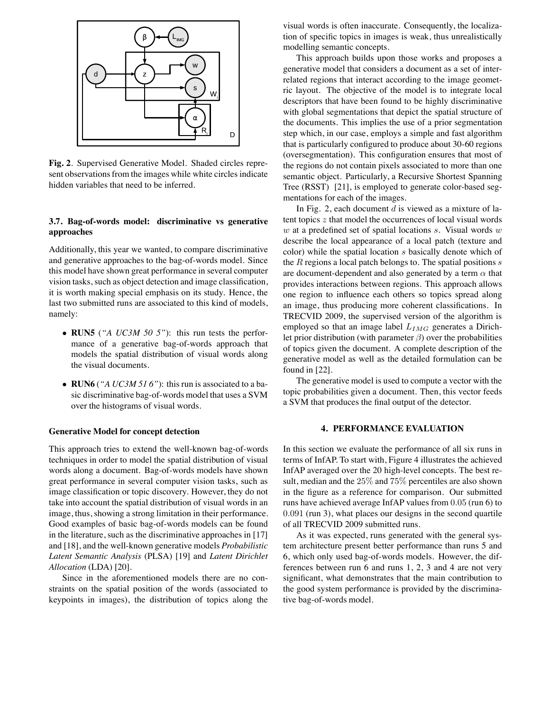

**Fig. 2**. Supervised Generative Model. Shaded circles represent observations from the images while white circles indicate hidden variables that need to be inferred.

# **3.7. Bag-of-words model: discriminative vs generative approaches**

Additionally, this year we wanted, to compare discriminative and generative approaches to the bag-of-words model. Since this model have shown great performance in several computer vision tasks, such as object detection and image classification, it is worth making special emphasis on its study. Hence, the last two submitted runs are associated to this kind of models, namely:

- *•* **RUN5** (*"A UC3M 50 5"*): this run tests the performance of a generative bag-of-words approach that models the spatial distribution of visual words along the visual documents.
- *•* **RUN6** (*"A UC3M 51 6"*): this run is associated to a basic discriminative bag-of-words model that uses a SVM over the histograms of visual words.

### **Generative Model for concept detection**

This approach tries to extend the well-known bag-of-words techniques in order to model the spatial distribution of visual words along a document. Bag-of-words models have shown great performance in several computer vision tasks, such as image classification or topic discovery. However, they do not take into account the spatial distribution of visual words in an image, thus, showing a strong limitation in their performance. Good examples of basic bag-of-words models can be found in the literature, such as the discriminative approaches in [17] and [18], and the well-known generative models *Probabilistic Latent Semantic Analysis* (PLSA) [19] and *Latent Dirichlet Allocation* (LDA) [20].

Since in the aforementioned models there are no constraints on the spatial position of the words (associated to keypoints in images), the distribution of topics along the visual words is often inaccurate. Consequently, the localization of specific topics in images is weak, thus unrealistically modelling semantic concepts.

This approach builds upon those works and proposes a generative model that considers a document as a set of interrelated regions that interact according to the image geometric layout. The objective of the model is to integrate local descriptors that have been found to be highly discriminative with global segmentations that depict the spatial structure of the documents. This implies the use of a prior segmentation step which, in our case, employs a simple and fast algorithm that is particularly configured to produce about 30-60 regions (oversegmentation). This configuration ensures that most of the regions do not contain pixels associated to more than one semantic object. Particularly, a Recursive Shortest Spanning Tree (RSST) [21], is employed to generate color-based segmentations for each of the images.

In Fig. 2, each document  $d$  is viewed as a mixture of latent topics z that model the occurrences of local visual words  $w$  at a predefined set of spatial locations  $s$ . Visual words  $w$ describe the local appearance of a local patch (texture and color) while the spatial location s basically denote which of the  $R$  regions a local patch belongs to. The spatial positions  $s$ are document-dependent and also generated by a term  $\alpha$  that provides interactions between regions. This approach allows one region to influence each others so topics spread along an image, thus producing more coherent classifications. In TRECVID 2009, the supervised version of the algorithm is employed so that an image label L*IMG* generates a Dirichlet prior distribution (with parameter  $\beta$ ) over the probabilities of topics given the document. A complete description of the generative model as well as the detailed formulation can be found in [22].

The generative model is used to compute a vector with the topic probabilities given a document. Then, this vector feeds a SVM that produces the final output of the detector.

#### **4. PERFORMANCE EVALUATION**

In this section we evaluate the performance of all six runs in terms of InfAP. To start with, Figure 4 illustrates the achieved InfAP averaged over the 20 high-level concepts. The best result, median and the 25% and 75% percentiles are also shown in the figure as a reference for comparison. Our submitted runs have achieved average InfAP values from 0.05 (run 6) to 0.091 (run 3), what places our designs in the second quartile of all TRECVID 2009 submitted runs.

As it was expected, runs generated with the general system architecture present better performance than runs 5 and 6, which only used bag-of-words models. However, the differences between run 6 and runs 1, 2, 3 and 4 are not very significant, what demonstrates that the main contribution to the good system performance is provided by the discriminative bag-of-words model.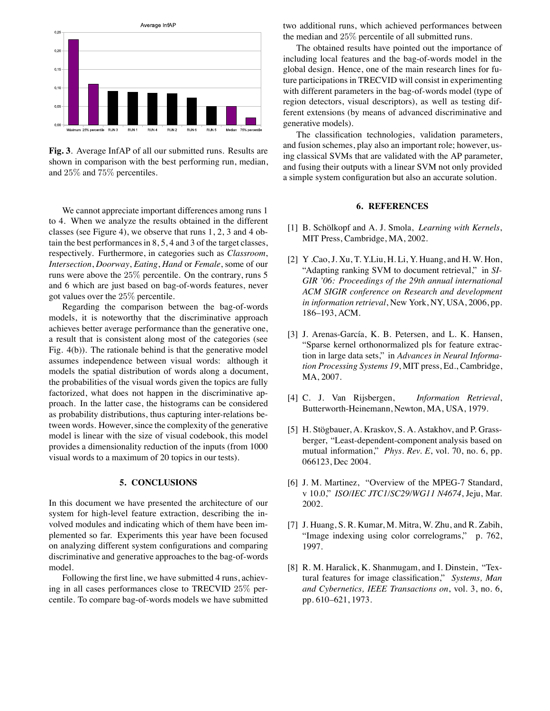

**Fig. 3**. Average InfAP of all our submitted runs. Results are shown in comparison with the best performing run, median, and 25% and 75% percentiles.

We cannot appreciate important differences among runs 1 to 4. When we analyze the results obtained in the different classes (see Figure 4), we observe that runs 1, 2, 3 and 4 obtain the best performances in 8, 5, 4 and 3 of the target classes, respectively. Furthermore, in categories such as *Classroom*, *Intersection*, *Doorway*, *Eating*, *Hand* or *Female*, some of our runs were above the 25% percentile. On the contrary, runs 5 and 6 which are just based on bag-of-words features, never got values over the 25% percentile.

Regarding the comparison between the bag-of-words models, it is noteworthy that the discriminative approach achieves better average performance than the generative one, a result that is consistent along most of the categories (see Fig. 4(b)). The rationale behind is that the generative model assumes independence between visual words: although it models the spatial distribution of words along a document, the probabilities of the visual words given the topics are fully factorized, what does not happen in the discriminative approach. In the latter case, the histograms can be considered as probability distributions, thus capturing inter-relations between words. However, since the complexity of the generative model is linear with the size of visual codebook, this model provides a dimensionality reduction of the inputs (from 1000 visual words to a maximum of 20 topics in our tests).

#### **5. CONCLUSIONS**

In this document we have presented the architecture of our system for high-level feature extraction, describing the involved modules and indicating which of them have been implemented so far. Experiments this year have been focused on analyzing different system configurations and comparing discriminative and generative approaches to the bag-of-words model.

Following the first line, we have submitted 4 runs, achieving in all cases performances close to TRECVID 25% percentile. To compare bag-of-words models we have submitted two additional runs, which achieved performances between the median and 25% percentile of all submitted runs.

The obtained results have pointed out the importance of including local features and the bag-of-words model in the global design. Hence, one of the main research lines for future participations in TRECVID will consist in experimenting with different parameters in the bag-of-words model (type of region detectors, visual descriptors), as well as testing different extensions (by means of advanced discriminative and generative models).

The classification technologies, validation parameters, and fusion schemes, play also an important role; however, using classical SVMs that are validated with the AP parameter, and fusing their outputs with a linear SVM not only provided a simple system configuration but also an accurate solution.

# **6. REFERENCES**

- [1] B. Schölkopf and A. J. Smola, *Learning with Kernels*, MIT Press, Cambridge, MA, 2002.
- [2] Y .Cao, J. Xu, T. Y.Liu, H. Li, Y. Huang, and H. W. Hon, "Adapting ranking SVM to document retrieval," in *SI-GIR '06: Proceedings of the 29th annual international ACM SIGIR conference on Research and development in information retrieval*, New York, NY, USA, 2006, pp. 186–193, ACM.
- [3] J. Arenas-García, K. B. Petersen, and L. K. Hansen, "Sparse kernel orthonormalized pls for feature extraction in large data sets," in *Advances in Neural Information Processing Systems 19*, MIT press, Ed., Cambridge, MA, 2007.
- [4] C. J. Van Rijsbergen, *Information Retrieval*, Butterworth-Heinemann, Newton, MA, USA, 1979.
- [5] H. Stögbauer, A. Kraskov, S. A. Astakhov, and P. Grassberger, "Least-dependent-component analysis based on mutual information," *Phys. Rev. E*, vol. 70, no. 6, pp. 066123, Dec 2004.
- [6] J. M. Martinez, "Overview of the MPEG-7 Standard, v 10.0," *ISO/IEC JTC1/SC29/WG11 N4674*, Jeju, Mar. 2002.
- [7] J. Huang, S. R. Kumar, M. Mitra, W. Zhu, and R. Zabih, "Image indexing using color correlograms," p. 762, 1997.
- [8] R. M. Haralick, K. Shanmugam, and I. Dinstein, "Textural features for image classification," *Systems, Man and Cybernetics, IEEE Transactions on*, vol. 3, no. 6, pp. 610–621, 1973.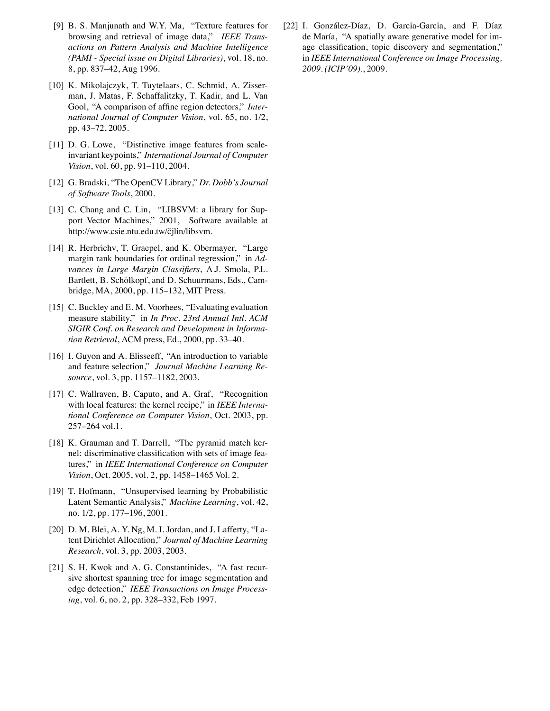- [9] B. S. Manjunath and W.Y. Ma, "Texture features for browsing and retrieval of image data," *IEEE Transactions on Pattern Analysis and Machine Intelligence (PAMI - Special issue on Digital Libraries)*, vol. 18, no. 8, pp. 837–42, Aug 1996.
- [10] K. Mikolajczyk, T. Tuytelaars, C. Schmid, A. Zisserman, J. Matas, F. Schaffalitzky, T. Kadir, and L. Van Gool, "A comparison of affine region detectors," *International Journal of Computer Vision*, vol. 65, no. 1/2, pp. 43–72, 2005.
- [11] D. G. Lowe, "Distinctive image features from scaleinvariant keypoints," *International Journal of Computer Vision*, vol. 60, pp. 91–110, 2004.
- [12] G. Bradski, "The OpenCV Library," *Dr. Dobb's Journal of Software Tools*, 2000.
- [13] C. Chang and C. Lin, "LIBSVM: a library for Support Vector Machines," 2001, Software available at http://www.csie.ntu.edu.tw/˜cjlin/libsvm.
- [14] R. Herbrichv, T. Graepel, and K. Obermayer, "Large margin rank boundaries for ordinal regression," in *Advances in Large Margin Classifiers*, A.J. Smola, P.L. Bartlett, B. Schölkopf, and D. Schuurmans, Eds., Cambridge, MA, 2000, pp. 115–132, MIT Press.
- [15] C. Buckley and E. M. Voorhees, "Evaluating evaluation measure stability," in *In Proc. 23rd Annual Intl. ACM SIGIR Conf. on Research and Development in Information Retrieval*, ACM press, Ed., 2000, pp. 33–40.
- [16] I. Guyon and A. Elisseeff, "An introduction to variable and feature selection," *Journal Machine Learning Resource*, vol. 3, pp. 1157–1182, 2003.
- [17] C. Wallraven, B. Caputo, and A. Graf, "Recognition with local features: the kernel recipe," in *IEEE International Conference on Computer Vision*, Oct. 2003, pp. 257–264 vol.1.
- [18] K. Grauman and T. Darrell, "The pyramid match kernel: discriminative classification with sets of image features," in *IEEE International Conference on Computer Vision*, Oct. 2005, vol. 2, pp. 1458–1465 Vol. 2.
- [19] T. Hofmann, "Unsupervised learning by Probabilistic Latent Semantic Analysis," *Machine Learning*, vol. 42, no. 1/2, pp. 177–196, 2001.
- [20] D. M. Blei, A. Y. Ng, M. I. Jordan, and J. Lafferty, "Latent Dirichlet Allocation," *Journal of Machine Learning Research*, vol. 3, pp. 2003, 2003.
- [21] S. H. Kwok and A. G. Constantinides, "A fast recursive shortest spanning tree for image segmentation and edge detection," *IEEE Transactions on Image Processing*, vol. 6, no. 2, pp. 328–332, Feb 1997.

[22] I. González-Díaz, D. García-García, and F. Díaz de María, "A spatially aware generative model for image classification, topic discovery and segmentation," in *IEEE International Conference on Image Processing, 2009. (ICIP'09).*, 2009.